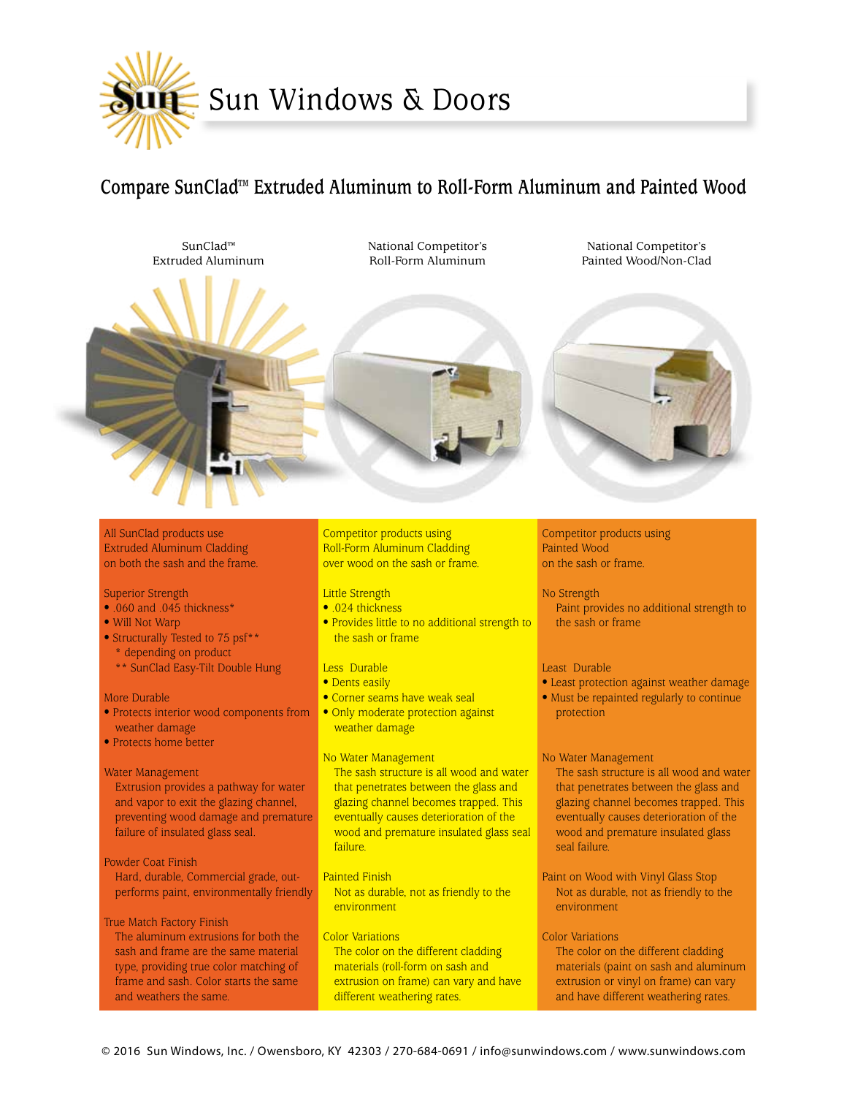

# **Compare SunClad™ Extruded Aluminum to Roll-Form Aluminum and Painted Wood**

SunClad™ Extruded Aluminum National Competitor's Roll-Form Aluminum

National Competitor's Painted Wood/Non-Clad



All SunClad products use Extruded Aluminum Cladding on both the sash and the frame.

## Superior Strength

- .060 and .045 thickness\*
- Will Not Warp
- Structurally Tested to 75 psf\*\*
- \* depending on product
- \*\* SunClad Easy-Tilt Double Hung

#### More Durable

- Protects interior wood components from weather damage
- Protects home better

#### Water Management

Extrusion provides a pathway for water and vapor to exit the glazing channel, preventing wood damage and premature failure of insulated glass seal.

# Powder Coat Finish

Hard, durable, Commercial grade, outperforms paint, environmentally friendly

## True Match Factory Finish

The aluminum extrusions for both the sash and frame are the same material type, providing true color matching of frame and sash. Color starts the same and weathers the same.

Competitor products using Roll-Form Aluminum Cladding over wood on the sash or frame.

## Little Strength

- .024 thickness
- Provides little to no additional strength to the sash or frame

#### Less Durable

- Dents easily
- Corner seams have weak seal
- Only moderate protection against weather damage

# No Water Management

The sash structure is all wood and water that penetrates between the glass and glazing channel becomes trapped. This eventually causes deterioration of the wood and premature insulated glass seal failure.

- Painted Finish Not as durable, not as friendly to the environment
- Color Variations The color on the different cladding materials (roll-form on sash and extrusion on frame) can vary and have different weathering rates.

# Competitor products using Painted Wood on the sash or frame.

#### No Strength

Paint provides no additional strength to the sash or frame

#### Least Durable

- Least protection against weather damage
- Must be repainted regularly to continue protection

#### No Water Management

The sash structure is all wood and water that penetrates between the glass and glazing channel becomes trapped. This eventually causes deterioration of the wood and premature insulated glass seal failure.

Paint on Wood with Vinyl Glass Stop Not as durable, not as friendly to the environment

# Color Variations

The color on the different cladding materials (paint on sash and aluminum extrusion or vinyl on frame) can vary and have different weathering rates.